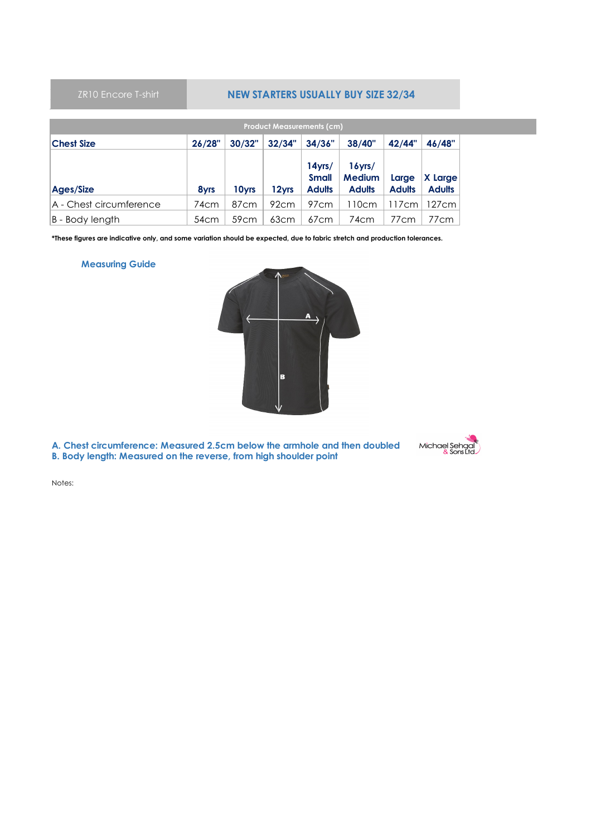## **NEW STARTERS USUALLY BUY SIZE 32/34**

| <b>Product Measurements (cm)</b>                                              |                  |                   |                  |                                            |                                             |                        |                          |  |  |  |  |  |
|-------------------------------------------------------------------------------|------------------|-------------------|------------------|--------------------------------------------|---------------------------------------------|------------------------|--------------------------|--|--|--|--|--|
| 26/28"<br>30/32"<br>32/34"<br>38/40"<br>42/44"<br>34/36"<br><b>Chest Size</b> |                  |                   |                  |                                            |                                             |                        |                          |  |  |  |  |  |
| Ages/Size                                                                     | 8yrs             | 10 <sub>vrs</sub> | 12vrs            | $14$ yrs/<br><b>Small</b><br><b>Adults</b> | $16$ yrs/<br><b>Medium</b><br><b>Adults</b> | Large<br><b>Adults</b> | X Large<br><b>Adults</b> |  |  |  |  |  |
| A - Chest circumference                                                       | 74cm             | 87 <sub>cm</sub>  | 92cm             | 97cm                                       | 110cm                                       | 117cm                  | 127cm                    |  |  |  |  |  |
| B - Body length                                                               | 54 <sub>cm</sub> | 59 <sub>cm</sub>  | 63 <sub>cm</sub> | 67cm                                       | 74cm                                        | 77cm                   | 77cm                     |  |  |  |  |  |

**\*These figures are indicative only, and some variation should be expected, due to fabric stretch and production tolerances.**

## **Measuring Guide**



**B. Body length: Measured on the reverse, from high shoulder point A. Chest circumference: Measured 2.5cm below the armhole and then doubled**

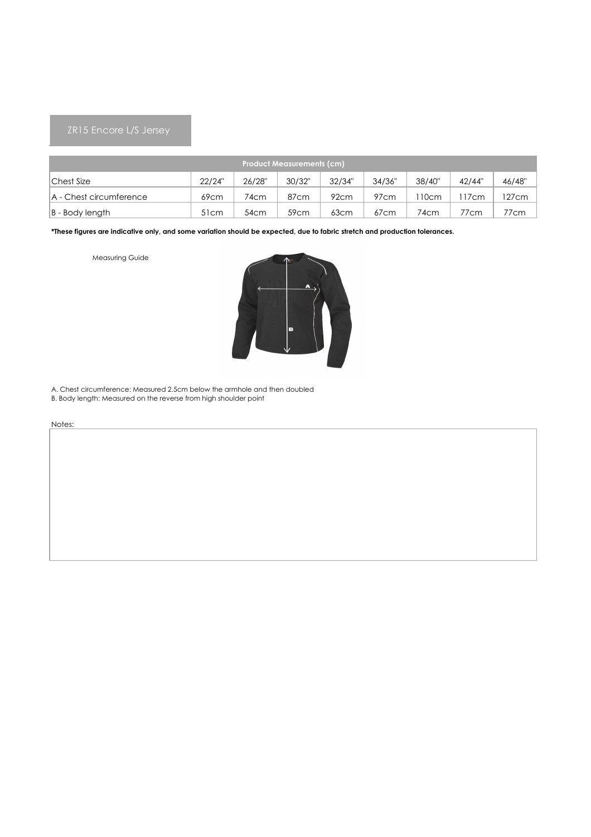| <b>Product Measurements (cm)</b> |                  |        |        |        |        |        |        |        |  |  |  |
|----------------------------------|------------------|--------|--------|--------|--------|--------|--------|--------|--|--|--|
| Chest Size                       | 22/24"           | 26/28" | 30/32" | 32/34" | 34/36" | 38/40" | 42/44" | 46/48" |  |  |  |
| A - Chest circumference          | 69 <sub>cm</sub> | 74cm   | 87cm   | 92cm   | 97cm   | l 10cm | 17cm   | 127cm  |  |  |  |
| $ B - Body$ length               | 51 <sub>cm</sub> | 54cm   | 59cm   | 63cm   | 67cm   | 74cm   | 77cm   | 77cm   |  |  |  |

Measuring Guide



B. Body length: Measured on the reverse from high shoulder point A. Chest circumference: Measured 2.5cm below the armhole and then doubled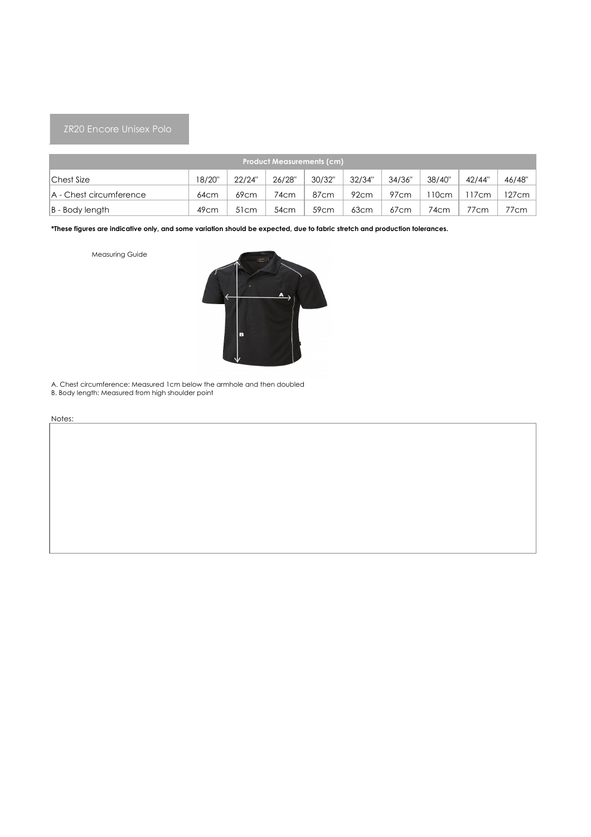## ZR20 Encore Unisex Polo

| <b>Product Measurements (cm)</b> |                  |                  |        |                  |        |                  |        |        |        |  |  |
|----------------------------------|------------------|------------------|--------|------------------|--------|------------------|--------|--------|--------|--|--|
| Chest Size                       | 18/20"           | 22/24"           | 26/28" | 30/32"           | 32/34" | 34/36"           | 38/40" | 42/44" | 46/48" |  |  |
| A - Chest circumference          | 64cm             | 69cm             | 74cm   | 87 <sub>cm</sub> | 92cm   | 97cm             | 10cm   | 17cm   | 127cm  |  |  |
| $ B - Body$ length               | 49 <sub>cm</sub> | 51 <sub>cm</sub> | 54cm   | 59cm             | 63cm   | 67 <sub>cm</sub> | 74cm   | 77cm   | 77cm   |  |  |

**\*These figures are indicative only, and some variation should be expected, due to fabric stretch and production tolerances.**

Measuring Guide



B. Body length: Measured from high shoulder point A. Chest circumference: Measured 1cm below the armhole and then doubled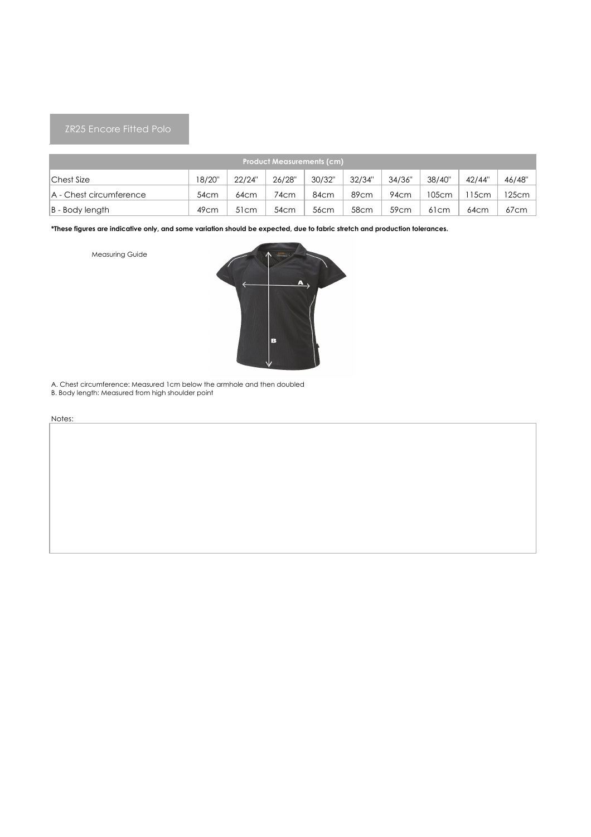## ZR25 Encore Fitted Polo

| <b>Product Measurements (cm)</b> |                  |                  |        |        |        |                  |                  |        |        |  |  |  |
|----------------------------------|------------------|------------------|--------|--------|--------|------------------|------------------|--------|--------|--|--|--|
| Chest Size                       | 18/20"           | 22/24"           | 26/28" | 30/32" | 32/34" | 34/36"           | 38/40"           | 42/44" | 46/48" |  |  |  |
| A - Chest circumference          | 54cm             | 64cm             | 74cm   | 84cm   | 89cm   | 94cm             | 105cm            | 15cm   | 125cm  |  |  |  |
| $ B - Body$ length               | 49 <sub>cm</sub> | 51 <sub>cm</sub> | 54cm   | 56cm   | 58cm   | 59 <sub>cm</sub> | 61 <sub>cm</sub> | 64cm   | 67cm   |  |  |  |

**\*These figures are indicative only, and some variation should be expected, due to fabric stretch and production tolerances.**

Measuring Guide



B. Body length: Measured from high shoulder point A. Chest circumference: Measured 1cm below the armhole and then doubled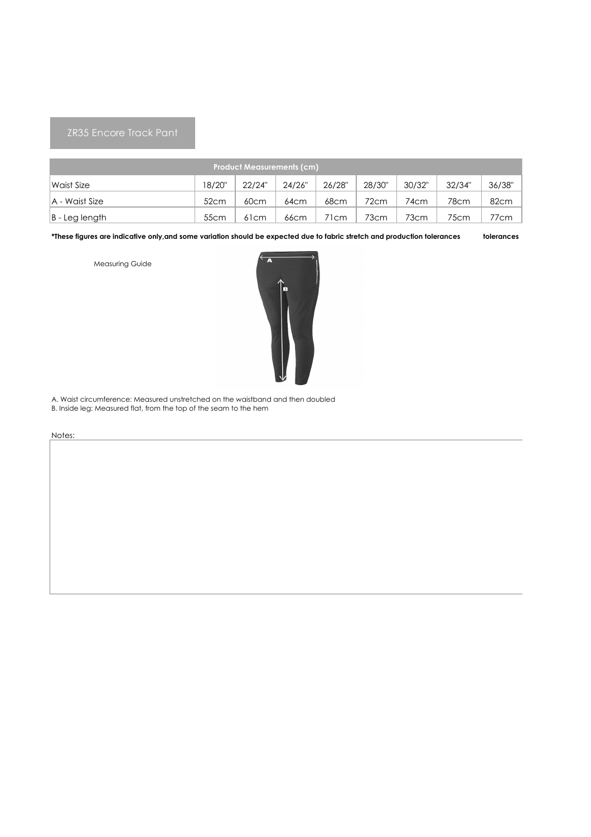## ZR35 Encore Track Pant

| <b>Product Measurements (cm)</b> |                  |                   |        |        |        |        |        |        |  |  |  |
|----------------------------------|------------------|-------------------|--------|--------|--------|--------|--------|--------|--|--|--|
| Waist Size                       | 18/20"           | 22/24"            | 24/26" | 26/28" | 28/30" | 30/32" | 32/34" | 36/38" |  |  |  |
| A - Waist Size                   | 52cm             | 60cm              | 64cm   | 68cm   | 72cm   | 74cm   | 78cm   | 82cm   |  |  |  |
| B - Leg length                   | 55 <sub>cm</sub> | 6 <sub>1</sub> cm | 66cm   | 71cm   | 73cm   | 73cm   | 75cm   | 77cm   |  |  |  |

**tolerances \*These figures are indicative only,and some variation should be expected due to fabric stretch and production tolerances**

Measuring Guide



A. Waist circumference: Measured unstretched on the waistband and then doubled B. Inside leg: Measured flat, from the top of the seam to the hem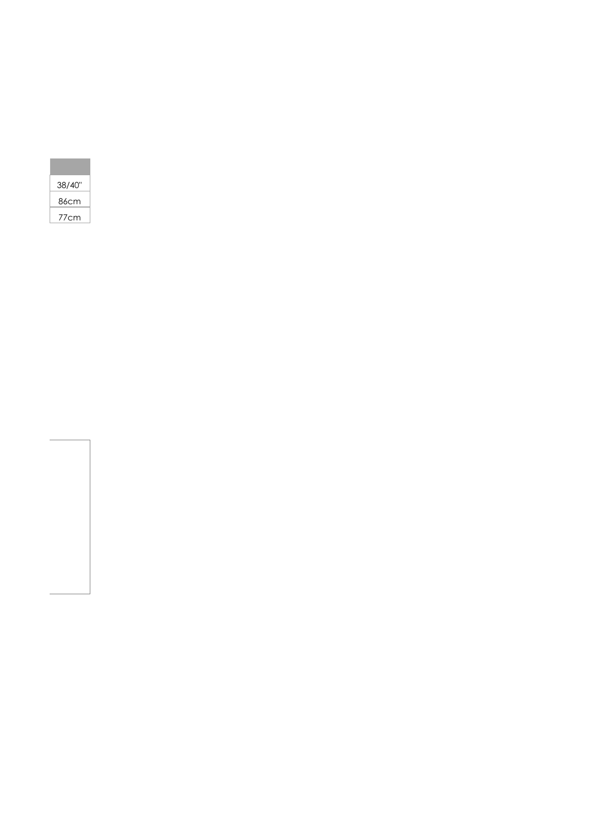| 38/40" |
|--------|
| 86cm   |
| 77cm   |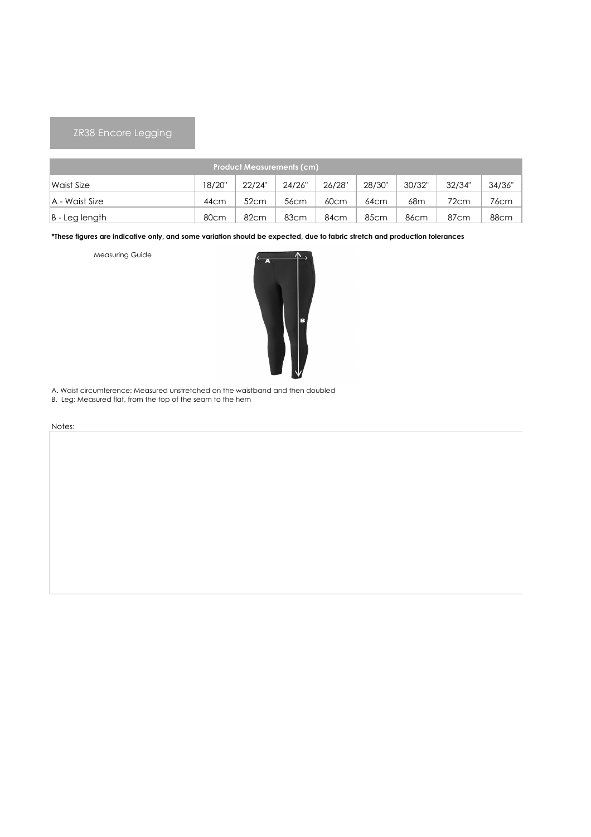# ZR38 Encore Legging

| <b>Product Measurements (cm)</b> |        |        |                  |                  |                  |                  |                  |        |  |  |  |
|----------------------------------|--------|--------|------------------|------------------|------------------|------------------|------------------|--------|--|--|--|
| Waist Size                       | 18/20" | 22/24" | 24/26"           | 26/28"           | 28/30"           | 30/32"           | 32/34"           | 34/36" |  |  |  |
| A - Waist Size                   | 44cm   | 52cm   | 56 <sub>cm</sub> | 60 <sub>cm</sub> | 64cm             | 68m              | 72cm             | 76cm   |  |  |  |
| B - Leg length                   | 80cm   | 82cm   | 83cm             | 84cm             | 85 <sub>cm</sub> | 86 <sub>cm</sub> | 87 <sub>cm</sub> | 88cm   |  |  |  |

**\*These figures are indicative only, and some variation should be expected, due to fabric stretch and production tolerances**

Measuring Guide



A. Waist circumference: Measured unstretched on the waistband and then doubled

B. Leg: Measured flat, from the top of the seam to the hem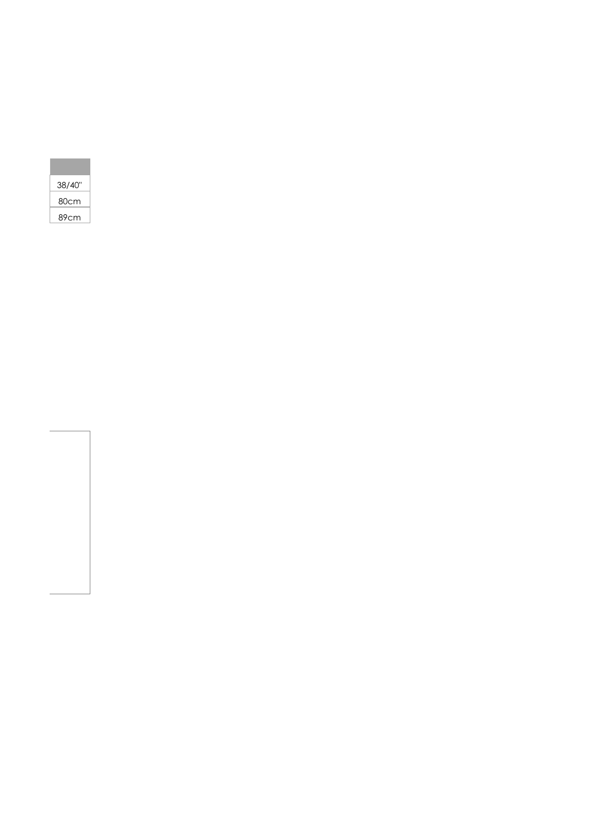| 38/40" |
|--------|
| 80cm   |
| 89cm   |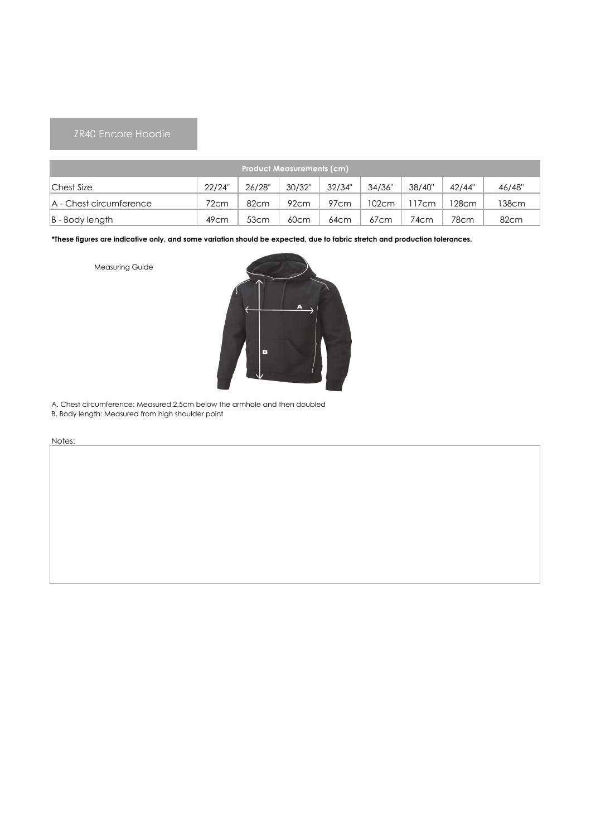# ZR40 Encore Hoodie

| <b>Product Measurements (cm)</b> |                  |        |        |        |        |        |                  |        |  |  |  |
|----------------------------------|------------------|--------|--------|--------|--------|--------|------------------|--------|--|--|--|
| Chest Size                       | 22/24"           | 26/28" | 30/32" | 32/34" | 34/36" | 38/40" | 42/44"           | 46/48" |  |  |  |
| A - Chest circumference          | 72cm             | 82cm   | 92cm   | 97cm   | 102cm  | 7cm    | 128cm            | 138cm  |  |  |  |
| $ B - Body$ length               | 49 <sub>cm</sub> | 53cm   | 60cm   | 64cm   | 67cm   | 74cm   | 78 <sub>cm</sub> | 82cm   |  |  |  |

**\*These figures are indicative only, and some variation should be expected, due to fabric stretch and production tolerances.**

Measuring Guide



A. Chest circumference: Measured 2.5cm below the armhole and then doubled

B. Body length: Measured from high shoulder point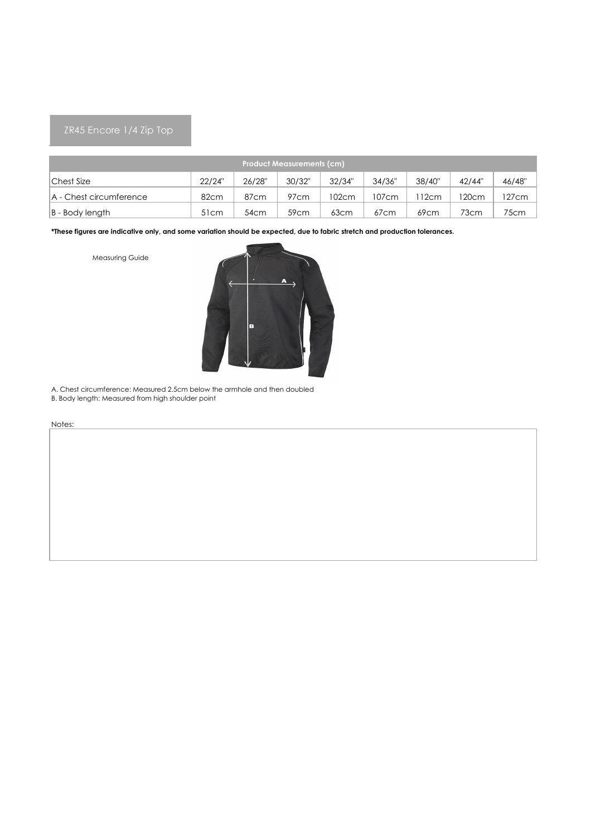| <b>Product Measurements (cm)</b> |                  |        |                  |        |                  |        |        |        |  |  |  |
|----------------------------------|------------------|--------|------------------|--------|------------------|--------|--------|--------|--|--|--|
| Chest Size                       | 22/24"           | 26/28" | 30/32"           | 32/34" | 34/36"           | 38/40" | 42/44" | 46/48" |  |  |  |
| A - Chest circumference          | 82cm             | 87cm   | 97 <sub>cm</sub> | 102cm  | 107cm            | 12cm   | 120cm  | 127cm  |  |  |  |
| $ B - Body$ length               | 51 <sub>cm</sub> | 54cm   | 59 <sub>cm</sub> | 63cm   | 67 <sub>cm</sub> | 69cm   | 73cm   | 75cm   |  |  |  |

Measuring Guide



A. Chest circumference: Measured 2.5cm below the armhole and then doubled

B. Body length: Measured from high shoulder point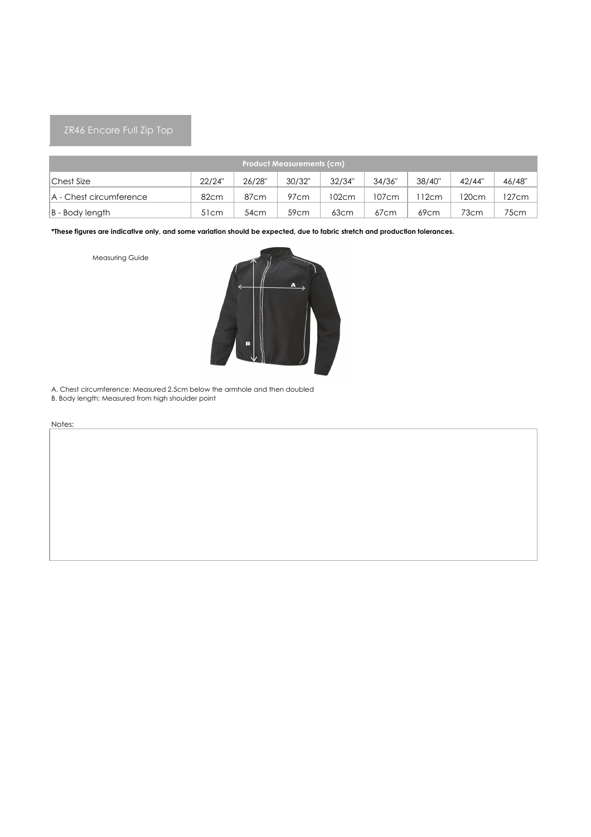| <b>Product Measurements (cm)</b> |                  |        |                  |        |        |        |        |        |  |  |  |
|----------------------------------|------------------|--------|------------------|--------|--------|--------|--------|--------|--|--|--|
| Chest Size                       | 22/24"           | 26/28" | 30/32"           | 32/34" | 34/36" | 38/40" | 42/44" | 46/48" |  |  |  |
| A - Chest circumference          | 82cm             | 87cm   | 97cm             | 102cm  | 107cm  | 12cm   | 120cm  | 127cm  |  |  |  |
| $ B - Body$ length               | 51 <sub>cm</sub> | 54cm   | 59 <sub>cm</sub> | 63cm   | 67cm   | 69cm   | 73cm   | 75cm   |  |  |  |

Measuring Guide



A. Chest circumference: Measured 2.5cm below the armhole and then doubled

B. Body length: Measured from high shoulder point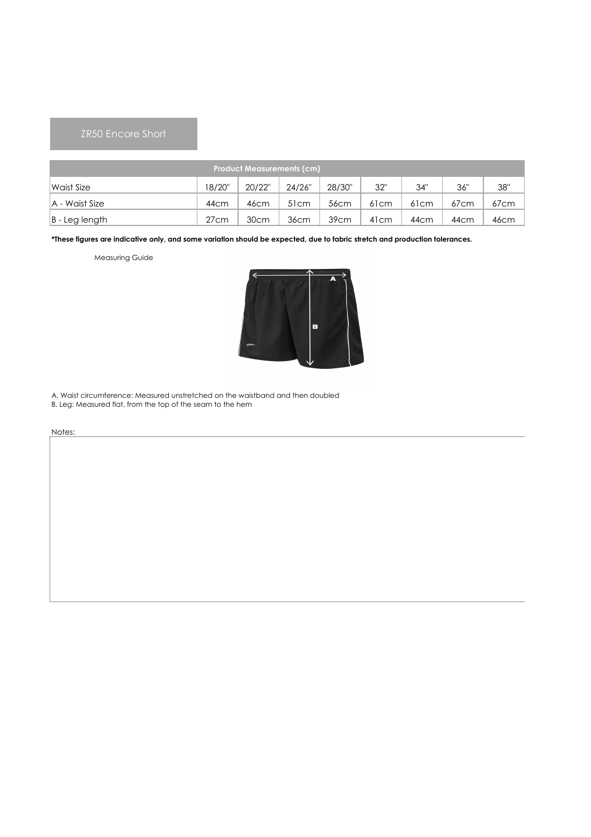# ZR50 Encore Short

| <b>Product Measurements (cm)</b> |                  |                  |                  |                  |                  |                  |                  |      |  |  |  |
|----------------------------------|------------------|------------------|------------------|------------------|------------------|------------------|------------------|------|--|--|--|
| Waist Size                       | 18/20"           | 20/22"           | 24/26"           | 28/30"           | 32"              | 34"              | 36"              | 38"  |  |  |  |
| A - Waist Size                   | 44 <sub>cm</sub> | 46 <sub>cm</sub> | 51 <sub>cm</sub> | 56 <sub>cm</sub> | 61 <sub>cm</sub> | 61 <sub>cm</sub> | 67 <sub>cm</sub> | 67cm |  |  |  |
| $ B - Leg$ length                | 27cm             | 30 <sub>cm</sub> | 36cm             | 39cm             | 41 <sub>cm</sub> | 44 <sub>cm</sub> | 44cm             | 46cm |  |  |  |

**\*These figures are indicative only, and some variation should be expected, due to fabric stretch and production tolerances.**

Measuring Guide



A. Waist circumference: Measured unstretched on the waistband and then doubled

B. Leg: Measured flat, from the top of the seam to the hem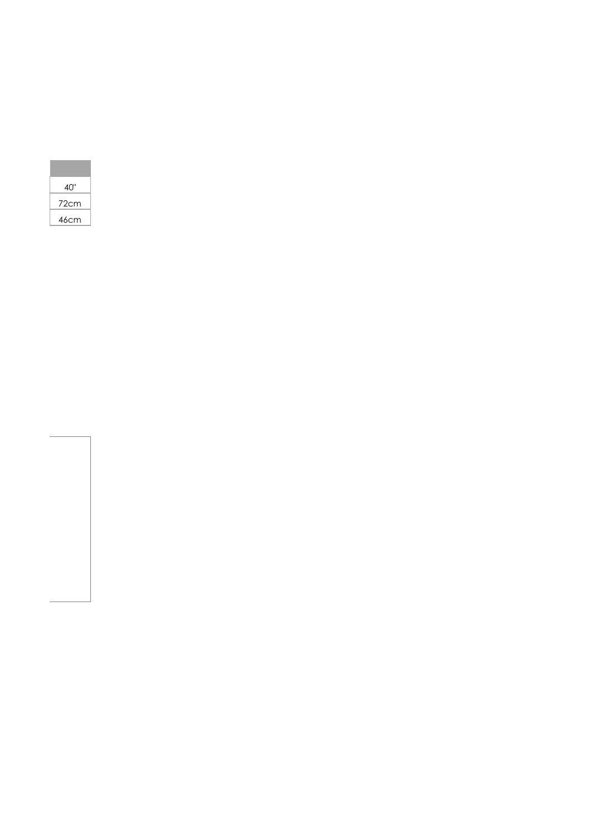| 40"  |
|------|
| 72cm |
| 46cm |